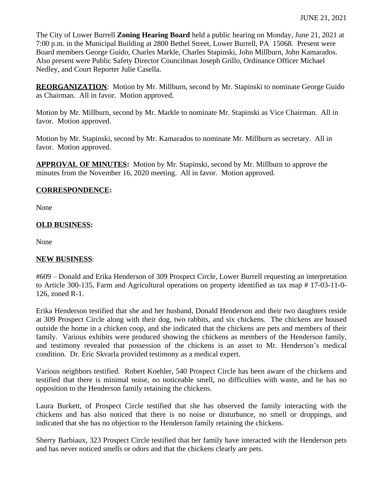The City of Lower Burrell **Zoning Hearing Board** held a public hearing on Monday, June 21, 2021 at 7:00 p.m. in the Municipal Building at 2800 Bethel Street, Lower Burrell, PA 15068. Present were Board members George Guido, Charles Markle, Charles Stapinski, John Millburn, John Kamarados. Also present were Public Safety Director Councilman Joseph Grillo, Ordinance Officer Michael Nedley, and Court Reporter Julie Casella.

**REORGANIZATION**: Motion by Mr. Millburn, second by Mr. Stapinski to nominate George Guido as Chairman. All in favor. Motion approved.

Motion by Mr. Millburn, second by Mr. Markle to nominate Mr. Stapinski as Vice Chairman. All in favor. Motion approved.

Motion by Mr. Stapinski, second by Mr. Kamarados to nominate Mr. Millburn as secretary. All in favor. Motion approved.

**APPROVAL OF MINUTES:** Motion by Mr. Stapinski, second by Mr. Millburn to approve the minutes from the November 16, 2020 meeting. All in favor. Motion approved.

## **CORRESPONDENCE:**

None

## **OLD BUSINESS:**

None

## **NEW BUSINESS**:

#609 – Donald and Erika Henderson of 309 Prospect Circle, Lower Burrell requesting an interpretation to Article 300-135, Farm and Agricultural operations on property identified as tax map # 17-03-11-0- 126, zoned R-1.

Erika Henderson testified that she and her husband, Donald Henderson and their two daughters reside at 309 Prospect Circle along with their dog, two rabbits, and six chickens. The chickens are housed outside the home in a chicken coop, and she indicated that the chickens are pets and members of their family. Various exhibits were produced showing the chickens as members of the Henderson family, and testimony revealed that possession of the chickens is an asset to Mr. Henderson's medical condition. Dr. Eric Skvarla provided testimony as a medical expert.

Various neighbors testified. Robert Koehler, 540 Prospect Circle has been aware of the chickens and testified that there is minimal noise, no noticeable smell, no difficulties with waste, and he has no opposition to the Henderson family retaining the chickens.

Laura Burkett, of Prospect Circle testified that she has observed the family interacting with the chickens and has also noticed that there is no noise or disturbance, no smell or droppings, and indicated that she has no objection to the Henderson family retaining the chickens.

Sherry Barbiaux, 323 Prospect Circle testified that her family have interacted with the Henderson pets and has never noticed smells or odors and that the chickens clearly are pets.